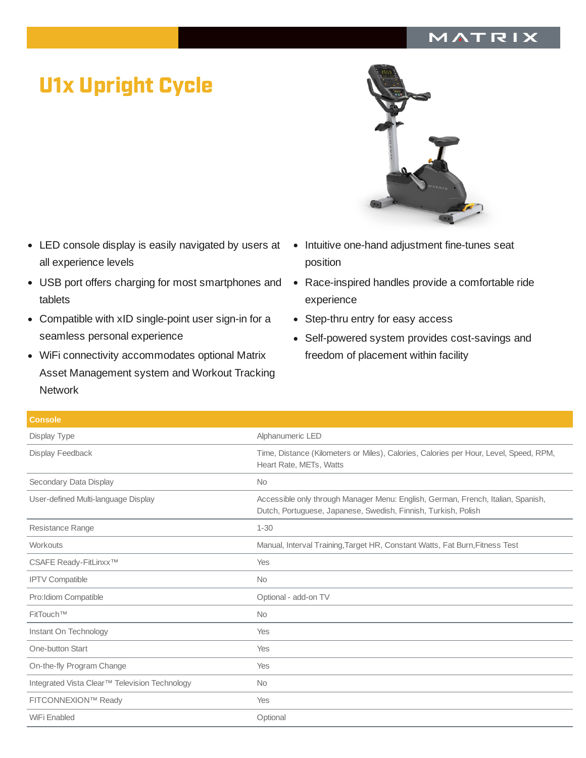## MATRIX

## U1x Upright Cycle

- LED console display is easily navigated by users at all experience levels
- USB port offers charging for most smartphones and tablets
- Compatible with xID single-point user sign-in for a seamless personal experience
- WiFi connectivity accommodates optional Matrix Asset Management system and Workout Tracking Network
- Intuitive one-hand adjustment fine-tunes seat  $\bullet$ position
- Race-inspired handles provide a comfortable ride experience
- Step-thru entry for easy access
- Self-powered system provides cost-savings and  $\bullet$ freedom of placement within facility

| <b>Console</b>                                |                                                                                                                                                    |
|-----------------------------------------------|----------------------------------------------------------------------------------------------------------------------------------------------------|
| Display Type                                  | Alphanumeric LED                                                                                                                                   |
| Display Feedback                              | Time, Distance (Kilometers or Miles), Calories, Calories per Hour, Level, Speed, RPM,<br>Heart Rate, METs, Watts                                   |
| Secondary Data Display                        | <b>No</b>                                                                                                                                          |
| User-defined Multi-language Display           | Accessible only through Manager Menu: English, German, French, Italian, Spanish,<br>Dutch, Portuguese, Japanese, Swedish, Finnish, Turkish, Polish |
| Resistance Range                              | $1 - 30$                                                                                                                                           |
| Workouts                                      | Manual, Interval Training, Target HR, Constant Watts, Fat Burn, Fitness Test                                                                       |
| CSAFE Ready-FitLinxx™                         | Yes                                                                                                                                                |
| <b>IPTV Compatible</b>                        | <b>No</b>                                                                                                                                          |
| Pro: Idiom Compatible                         | Optional - add-on TV                                                                                                                               |
| FitTouch™                                     | <b>No</b>                                                                                                                                          |
| Instant On Technology                         | Yes                                                                                                                                                |
| One-button Start                              | Yes                                                                                                                                                |
| On-the-fly Program Change                     | Yes                                                                                                                                                |
| Integrated Vista Clear™ Television Technology | <b>No</b>                                                                                                                                          |
| FITCONNEXION™ Ready                           | Yes                                                                                                                                                |
| WiFi Enabled                                  | Optional                                                                                                                                           |